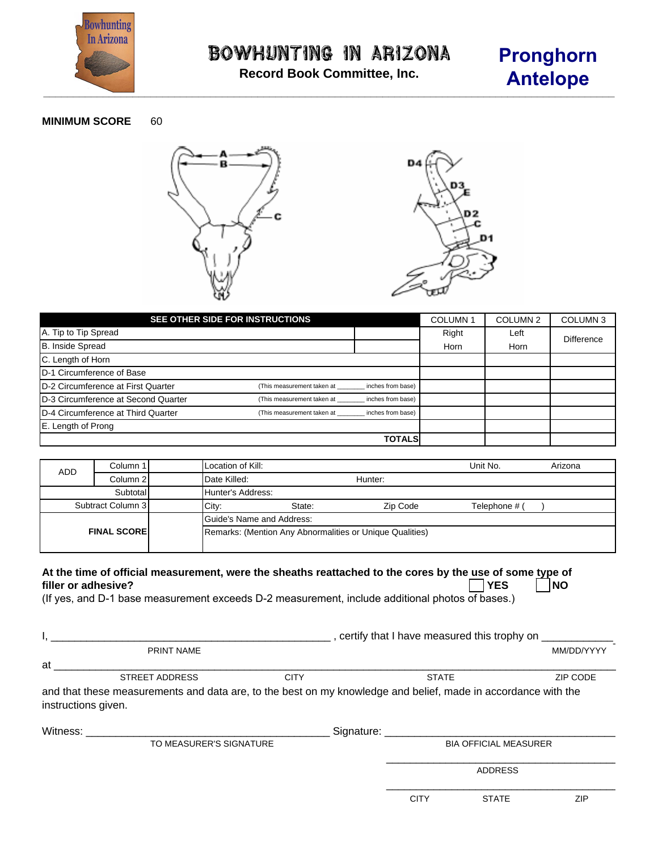

**Record Book Committee, Inc.**

# **Pronghorn Antelope**

#### **MINIMUM SCORE** 60





| SEE OTHER SIDE FOR INSTRUCTIONS     | <b>COLUMN1</b>             | COLUMN <sub>2</sub> | COLUMN <sub>3</sub> |      |                   |
|-------------------------------------|----------------------------|---------------------|---------------------|------|-------------------|
| A. Tip to Tip Spread                |                            |                     | Right               | Left | <b>Difference</b> |
| B. Inside Spread                    |                            |                     | Horn                | Horn |                   |
| C. Length of Horn                   |                            |                     |                     |      |                   |
| D-1 Circumference of Base           |                            |                     |                     |      |                   |
| D-2 Circumference at First Quarter  | (This measurement taken at | inches from base)   |                     |      |                   |
| D-3 Circumference at Second Quarter | (This measurement taken at | inches from base)   |                     |      |                   |
| D-4 Circumference at Third Quarter  | (This measurement taken at | inches from base)   |                     |      |                   |
| E. Length of Prong                  |                            |                     |                     |      |                   |
|                                     |                            | TOTALS              |                     |      |                   |

| <b>ADD</b>          | Column 1 | Location of Kill:                                        |         |          | Unit No.      | Arizona |  |
|---------------------|----------|----------------------------------------------------------|---------|----------|---------------|---------|--|
|                     | Column 2 | Date Killed:                                             | Hunter: |          |               |         |  |
|                     | Subtotal | Hunter's Address:                                        |         |          |               |         |  |
| Subtract Column 3   |          | City.                                                    | State:  | Zip Code | Telephone # ( |         |  |
|                     |          | Guide's Name and Address:                                |         |          |               |         |  |
| <b>FINAL SCOREI</b> |          | Remarks: (Mention Any Abnormalities or Unique Qualities) |         |          |               |         |  |

### At the time of official measurement, were the sheaths reattached to the cores by the use of some type of **filler** or adhesive? **filler or adhesive? YES NO**

(If yes, and D-1 base measurement exceeds D-2 measurement, include additional photos of bases.)

|                         |                                                                                                               | certify that I have measured this trophy on __________ |              |                              |            |  |  |
|-------------------------|---------------------------------------------------------------------------------------------------------------|--------------------------------------------------------|--------------|------------------------------|------------|--|--|
|                         | <b>PRINT NAME</b>                                                                                             |                                                        |              |                              | MM/DD/YYYY |  |  |
| at                      |                                                                                                               |                                                        |              |                              |            |  |  |
|                         | <b>STREET ADDRESS</b>                                                                                         | <b>CITY</b>                                            | <b>STATE</b> |                              | ZIP CODE   |  |  |
| instructions given.     | and that these measurements and data are, to the best on my knowledge and belief, made in accordance with the |                                                        |              |                              |            |  |  |
| Witness:                |                                                                                                               |                                                        |              |                              |            |  |  |
| TO MEASURER'S SIGNATURE |                                                                                                               |                                                        |              | <b>BIA OFFICIAL MEASURER</b> |            |  |  |
|                         |                                                                                                               |                                                        |              | <b>ADDRESS</b>               |            |  |  |
|                         |                                                                                                               |                                                        | <b>CITY</b>  | <b>STATE</b>                 | ZIP        |  |  |